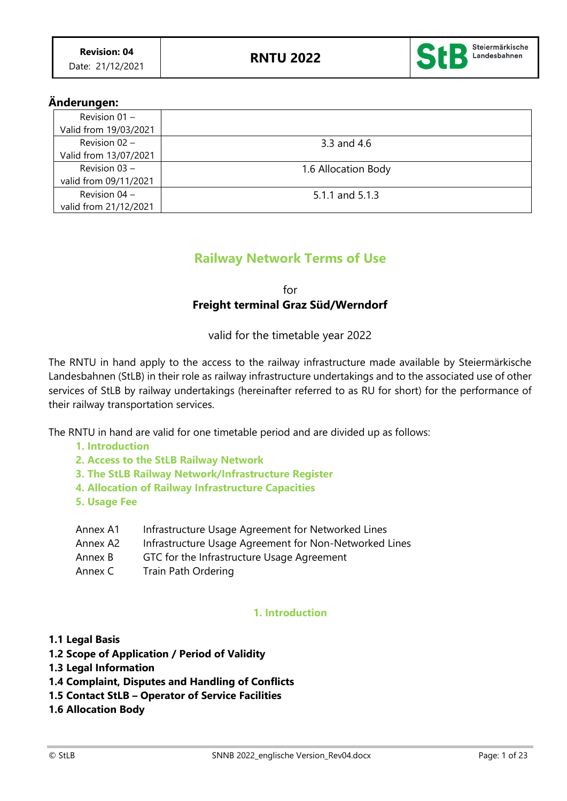

# **Änderungen:**

| Revision 01 -         |                     |
|-----------------------|---------------------|
| Valid from 19/03/2021 |                     |
| Revision 02 -         | 3.3 and 4.6         |
| Valid from 13/07/2021 |                     |
| Revision 03 -         | 1.6 Allocation Body |
| valid from 09/11/2021 |                     |
| Revision $04 -$       | 5.1.1 and 5.1.3     |
| valid from 21/12/2021 |                     |

# **Railway Network Terms of Use**

for **Freight terminal Graz Süd/Werndorf**

valid for the timetable year 2022

The RNTU in hand apply to the access to the railway infrastructure made available by Steiermärkische Landesbahnen (StLB) in their role as railway infrastructure undertakings and to the associated use of other services of StLB by railway undertakings (hereinafter referred to as RU for short) for the performance of their railway transportation services.

The RNTU in hand are valid for one timetable period and are divided up as follows:

- **1. Introduction**
- **2. Access to the StLB Railway Network**
- **3. The StLB Railway Network/Infrastructure Register**
- **4. Allocation of Railway Infrastructure Capacities**
- **5. Usage Fee**

| Annex A1 | Infrastructure Usage Agreement for Networked Lines     |
|----------|--------------------------------------------------------|
| Annex A2 | Infrastructure Usage Agreement for Non-Networked Lines |
| Annex B  | GTC for the Infrastructure Usage Agreement             |
| Annex C  | Train Path Ordering                                    |

## **1. Introduction**

- **1.1 Legal Basis**
- **1.2 Scope of Application / Period of Validity**
- **1.3 Legal Information**
- **1.4 Complaint, Disputes and Handling of Conflicts**
- **1.5 Contact StLB – Operator of Service Facilities**
- **1.6 Allocation Body**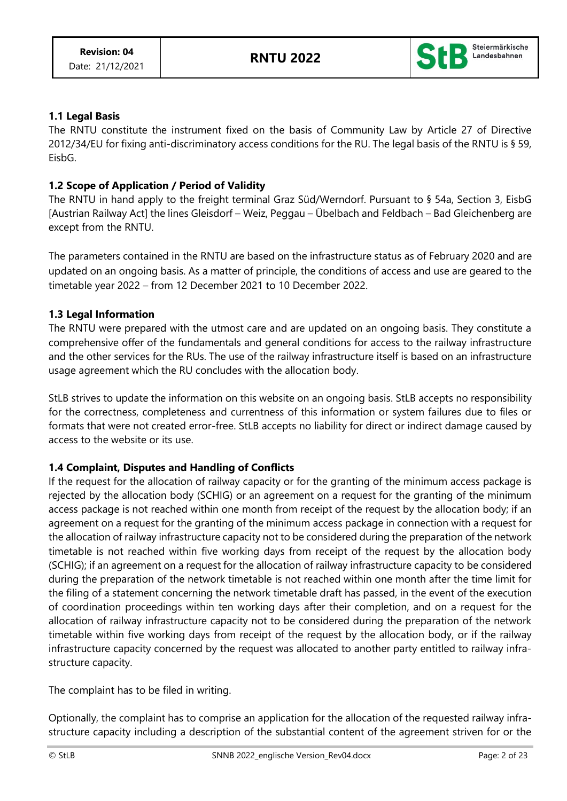

# **1.1 Legal Basis**

The RNTU constitute the instrument fixed on the basis of Community Law by Article 27 of Directive 2012/34/EU for fixing anti-discriminatory access conditions for the RU. The legal basis of the RNTU is § 59, EisbG.

## **1.2 Scope of Application / Period of Validity**

The RNTU in hand apply to the freight terminal Graz Süd/Werndorf. Pursuant to § 54a, Section 3, EisbG [Austrian Railway Act] the lines Gleisdorf – Weiz, Peggau – Übelbach and Feldbach – Bad Gleichenberg are except from the RNTU.

The parameters contained in the RNTU are based on the infrastructure status as of February 2020 and are updated on an ongoing basis. As a matter of principle, the conditions of access and use are geared to the timetable year 2022 – from 12 December 2021 to 10 December 2022.

## **1.3 Legal Information**

The RNTU were prepared with the utmost care and are updated on an ongoing basis. They constitute a comprehensive offer of the fundamentals and general conditions for access to the railway infrastructure and the other services for the RUs. The use of the railway infrastructure itself is based on an infrastructure usage agreement which the RU concludes with the allocation body.

StLB strives to update the information on this website on an ongoing basis. StLB accepts no responsibility for the correctness, completeness and currentness of this information or system failures due to files or formats that were not created error-free. StLB accepts no liability for direct or indirect damage caused by access to the website or its use.

## **1.4 Complaint, Disputes and Handling of Conflicts**

If the request for the allocation of railway capacity or for the granting of the minimum access package is rejected by the allocation body (SCHIG) or an agreement on a request for the granting of the minimum access package is not reached within one month from receipt of the request by the allocation body; if an agreement on a request for the granting of the minimum access package in connection with a request for the allocation of railway infrastructure capacity not to be considered during the preparation of the network timetable is not reached within five working days from receipt of the request by the allocation body (SCHIG); if an agreement on a request for the allocation of railway infrastructure capacity to be considered during the preparation of the network timetable is not reached within one month after the time limit for the filing of a statement concerning the network timetable draft has passed, in the event of the execution of coordination proceedings within ten working days after their completion, and on a request for the allocation of railway infrastructure capacity not to be considered during the preparation of the network timetable within five working days from receipt of the request by the allocation body, or if the railway infrastructure capacity concerned by the request was allocated to another party entitled to railway infrastructure capacity.

The complaint has to be filed in writing.

Optionally, the complaint has to comprise an application for the allocation of the requested railway infrastructure capacity including a description of the substantial content of the agreement striven for or the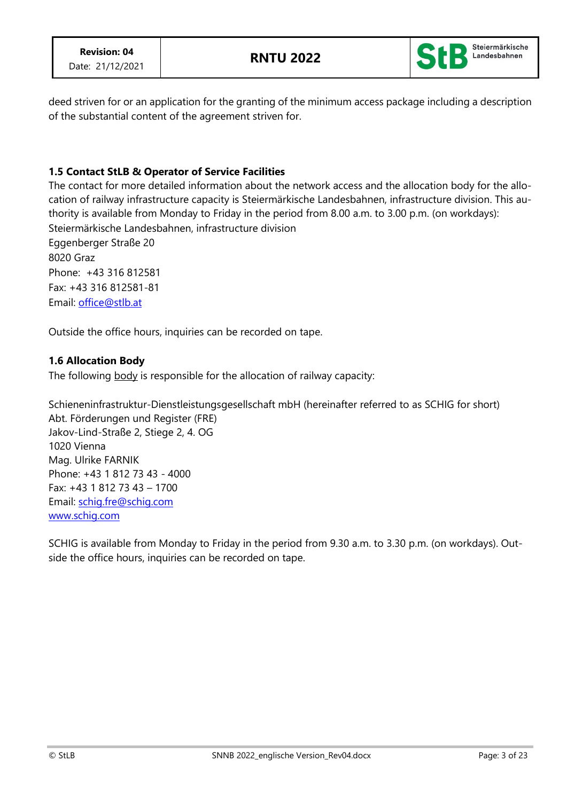

deed striven for or an application for the granting of the minimum access package including a description of the substantial content of the agreement striven for.

# **1.5 Contact StLB & Operator of Service Facilities**

The contact for more detailed information about the network access and the allocation body for the allocation of railway infrastructure capacity is Steiermärkische Landesbahnen, infrastructure division. This authority is available from Monday to Friday in the period from 8.00 a.m. to 3.00 p.m. (on workdays): Steiermärkische Landesbahnen, infrastructure division

Eggenberger Straße 20 8020 Graz Phone: +43 316 812581 Fax: +43 316 812581-81 Email: [office@stlb.at](mailto:office@stlb.at)

Outside the office hours, inquiries can be recorded on tape.

## **1.6 Allocation Body**

The following body is responsible for the allocation of railway capacity:

Schieneninfrastruktur-Dienstleistungsgesellschaft mbH (hereinafter referred to as SCHIG for short) Abt. Förderungen und Register (FRE) Jakov-Lind-Straße 2, Stiege 2, 4. OG 1020 Vienna Mag. Ulrike FARNIK Phone: +43 1 812 73 43 - 4000 Fax: +43 1 812 73 43 – 1700 Email: [schig.fre@schig.com](mailto:schig.fre@schig.com) [www.schig.com](http://www.schig.com/)

SCHIG is available from Monday to Friday in the period from 9.30 a.m. to 3.30 p.m. (on workdays). Outside the office hours, inquiries can be recorded on tape.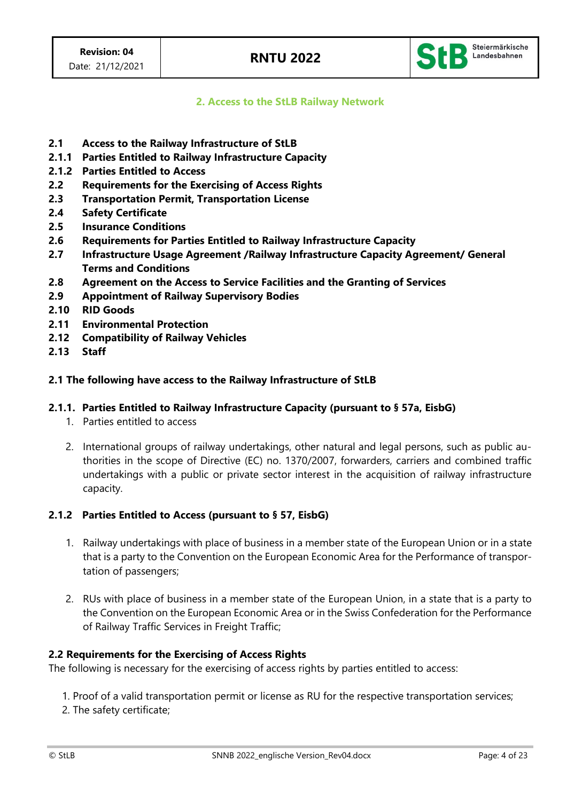

**2. Access to the StLB Railway Network**

- **2.1 Access to the Railway Infrastructure of StLB**
- **2.1.1 Parties Entitled to Railway Infrastructure Capacity**
- **2.1.2 Parties Entitled to Access**
- **2.2 Requirements for the Exercising of Access Rights**
- **2.3 Transportation Permit, Transportation License**
- **2.4 Safety Certificate**
- **2.5 Insurance Conditions**
- **2.6 Requirements for Parties Entitled to Railway Infrastructure Capacity**
- **2.7 Infrastructure Usage Agreement /Railway Infrastructure Capacity Agreement/ General Terms and Conditions**
- **2.8 Agreement on the Access to Service Facilities and the Granting of Services**
- **2.9 Appointment of Railway Supervisory Bodies**
- **2.10 RID Goods**
- **2.11 Environmental Protection**
- **2.12 Compatibility of Railway Vehicles**
- **2.13 Staff**

### **2.1 The following have access to the Railway Infrastructure of StLB**

### **2.1.1. Parties Entitled to Railway Infrastructure Capacity (pursuant to § 57a, EisbG)**

- 1. Parties entitled to access
- 2. International groups of railway undertakings, other natural and legal persons, such as public authorities in the scope of Directive (EC) no. 1370/2007, forwarders, carriers and combined traffic undertakings with a public or private sector interest in the acquisition of railway infrastructure capacity.

### **2.1.2 Parties Entitled to Access (pursuant to § 57, EisbG)**

- 1. Railway undertakings with place of business in a member state of the European Union or in a state that is a party to the Convention on the European Economic Area for the Performance of transportation of passengers;
- 2. RUs with place of business in a member state of the European Union, in a state that is a party to the Convention on the European Economic Area or in the Swiss Confederation for the Performance of Railway Traffic Services in Freight Traffic;

### **2.2 Requirements for the Exercising of Access Rights**

The following is necessary for the exercising of access rights by parties entitled to access:

- 1. Proof of a valid transportation permit or license as RU for the respective transportation services;
- 2. The safety certificate;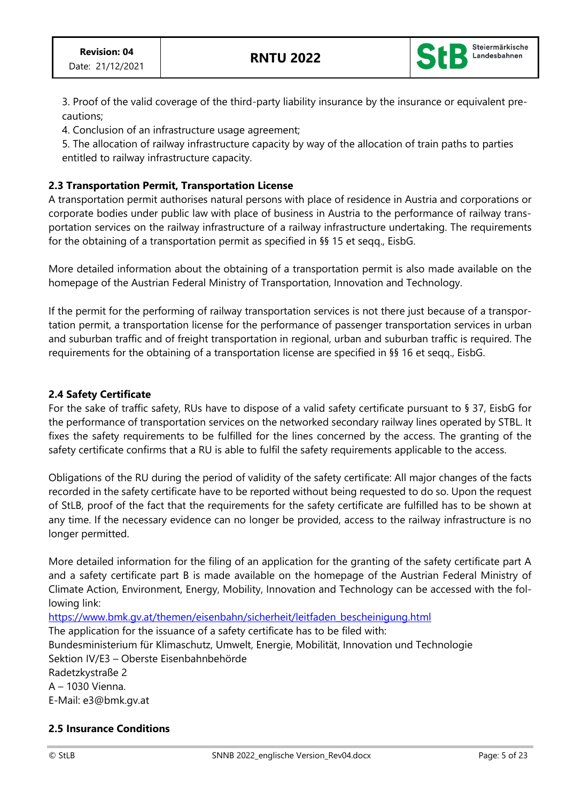

3. Proof of the valid coverage of the third-party liability insurance by the insurance or equivalent precautions;

4. Conclusion of an infrastructure usage agreement;

5. The allocation of railway infrastructure capacity by way of the allocation of train paths to parties entitled to railway infrastructure capacity.

## **2.3 Transportation Permit, Transportation License**

A transportation permit authorises natural persons with place of residence in Austria and corporations or corporate bodies under public law with place of business in Austria to the performance of railway transportation services on the railway infrastructure of a railway infrastructure undertaking. The requirements for the obtaining of a transportation permit as specified in §§ 15 et seqq., EisbG.

More detailed information about the obtaining of a transportation permit is also made available on the homepage of the Austrian Federal Ministry of Transportation, Innovation and Technology.

If the permit for the performing of railway transportation services is not there just because of a transportation permit, a transportation license for the performance of passenger transportation services in urban and suburban traffic and of freight transportation in regional, urban and suburban traffic is required. The requirements for the obtaining of a transportation license are specified in §§ 16 et seqq., EisbG.

# **2.4 Safety Certificate**

For the sake of traffic safety, RUs have to dispose of a valid safety certificate pursuant to § 37, EisbG for the performance of transportation services on the networked secondary railway lines operated by STBL. It fixes the safety requirements to be fulfilled for the lines concerned by the access. The granting of the safety certificate confirms that a RU is able to fulfil the safety requirements applicable to the access.

Obligations of the RU during the period of validity of the safety certificate: All major changes of the facts recorded in the safety certificate have to be reported without being requested to do so. Upon the request of StLB, proof of the fact that the requirements for the safety certificate are fulfilled has to be shown at any time. If the necessary evidence can no longer be provided, access to the railway infrastructure is no longer permitted.

More detailed information for the filing of an application for the granting of the safety certificate part A and a safety certificate part B is made available on the homepage of the Austrian Federal Ministry of Climate Action, Environment, Energy, Mobility, Innovation and Technology can be accessed with the following link:

[https://www.bmk.gv.at/themen/eisenbahn/sicherheit/leitfaden\\_bescheinigung.html](https://www.bmk.gv.at/themen/eisenbahn/sicherheit/leitfaden_bescheinigung.html)

The application for the issuance of a safety certificate has to be filed with: Bundesministerium für Klimaschutz, Umwelt, Energie, Mobilität, Innovation und Technologie Sektion IV/E3 – Oberste Eisenbahnbehörde

Radetzkystraße 2 A – 1030 Vienna. E-Mail: e3@bmk.gv.at

## **2.5 Insurance Conditions**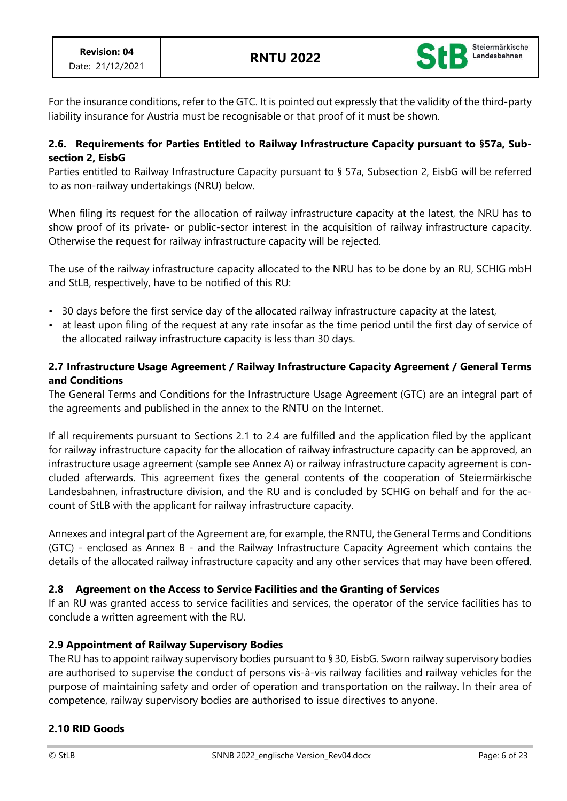

For the insurance conditions, refer to the GTC. It is pointed out expressly that the validity of the third-party liability insurance for Austria must be recognisable or that proof of it must be shown.

## **2.6. Requirements for Parties Entitled to Railway Infrastructure Capacity pursuant to §57a, Subsection 2, EisbG**

Parties entitled to Railway Infrastructure Capacity pursuant to § 57a, Subsection 2, EisbG will be referred to as non-railway undertakings (NRU) below.

When filing its request for the allocation of railway infrastructure capacity at the latest, the NRU has to show proof of its private- or public-sector interest in the acquisition of railway infrastructure capacity. Otherwise the request for railway infrastructure capacity will be rejected.

The use of the railway infrastructure capacity allocated to the NRU has to be done by an RU, SCHIG mbH and StLB, respectively, have to be notified of this RU:

- 30 days before the first service day of the allocated railway infrastructure capacity at the latest,
- at least upon filing of the request at any rate insofar as the time period until the first day of service of the allocated railway infrastructure capacity is less than 30 days.

# **2.7 Infrastructure Usage Agreement / Railway Infrastructure Capacity Agreement / General Terms and Conditions**

The General Terms and Conditions for the Infrastructure Usage Agreement (GTC) are an integral part of the agreements and published in the annex to the RNTU on the Internet.

If all requirements pursuant to Sections 2.1 to 2.4 are fulfilled and the application filed by the applicant for railway infrastructure capacity for the allocation of railway infrastructure capacity can be approved, an infrastructure usage agreement (sample see Annex A) or railway infrastructure capacity agreement is concluded afterwards. This agreement fixes the general contents of the cooperation of Steiermärkische Landesbahnen, infrastructure division, and the RU and is concluded by SCHIG on behalf and for the account of StLB with the applicant for railway infrastructure capacity.

Annexes and integral part of the Agreement are, for example, the RNTU, the General Terms and Conditions (GTC) - enclosed as Annex B - and the Railway Infrastructure Capacity Agreement which contains the details of the allocated railway infrastructure capacity and any other services that may have been offered.

# **2.8 Agreement on the Access to Service Facilities and the Granting of Services**

If an RU was granted access to service facilities and services, the operator of the service facilities has to conclude a written agreement with the RU.

# **2.9 Appointment of Railway Supervisory Bodies**

The RU has to appoint railway supervisory bodies pursuant to § 30, EisbG. Sworn railway supervisory bodies are authorised to supervise the conduct of persons vis-à-vis railway facilities and railway vehicles for the purpose of maintaining safety and order of operation and transportation on the railway. In their area of competence, railway supervisory bodies are authorised to issue directives to anyone.

# **2.10 RID Goods**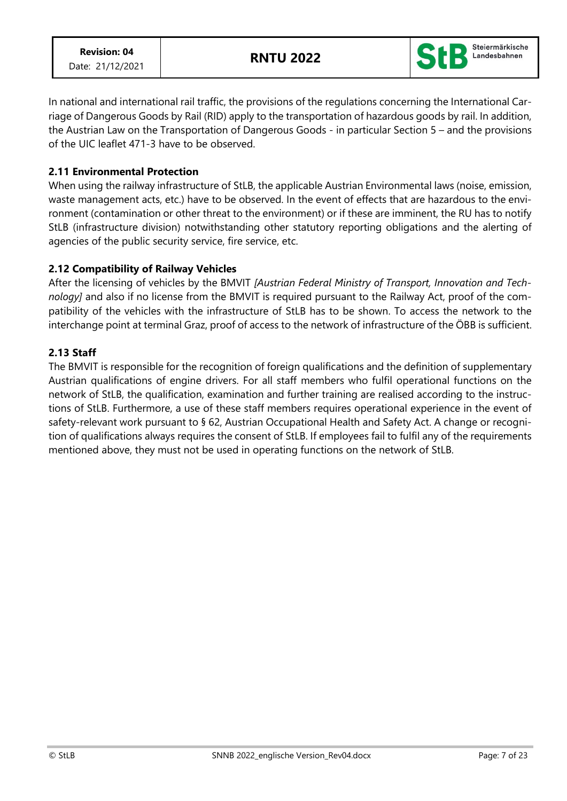

In national and international rail traffic, the provisions of the regulations concerning the International Carriage of Dangerous Goods by Rail (RID) apply to the transportation of hazardous goods by rail. In addition, the Austrian Law on the Transportation of Dangerous Goods - in particular Section 5 – and the provisions of the UIC leaflet 471-3 have to be observed.

## **2.11 Environmental Protection**

When using the railway infrastructure of StLB, the applicable Austrian Environmental laws (noise, emission, waste management acts, etc.) have to be observed. In the event of effects that are hazardous to the environment (contamination or other threat to the environment) or if these are imminent, the RU has to notify StLB (infrastructure division) notwithstanding other statutory reporting obligations and the alerting of agencies of the public security service, fire service, etc.

## **2.12 Compatibility of Railway Vehicles**

After the licensing of vehicles by the BMVIT *[Austrian Federal Ministry of Transport, Innovation and Technology]* and also if no license from the BMVIT is required pursuant to the Railway Act, proof of the compatibility of the vehicles with the infrastructure of StLB has to be shown. To access the network to the interchange point at terminal Graz, proof of access to the network of infrastructure of the ÖBB is sufficient.

### **2.13 Staff**

The BMVIT is responsible for the recognition of foreign qualifications and the definition of supplementary Austrian qualifications of engine drivers. For all staff members who fulfil operational functions on the network of StLB, the qualification, examination and further training are realised according to the instructions of StLB. Furthermore, a use of these staff members requires operational experience in the event of safety-relevant work pursuant to § 62, Austrian Occupational Health and Safety Act. A change or recognition of qualifications always requires the consent of StLB. If employees fail to fulfil any of the requirements mentioned above, they must not be used in operating functions on the network of StLB.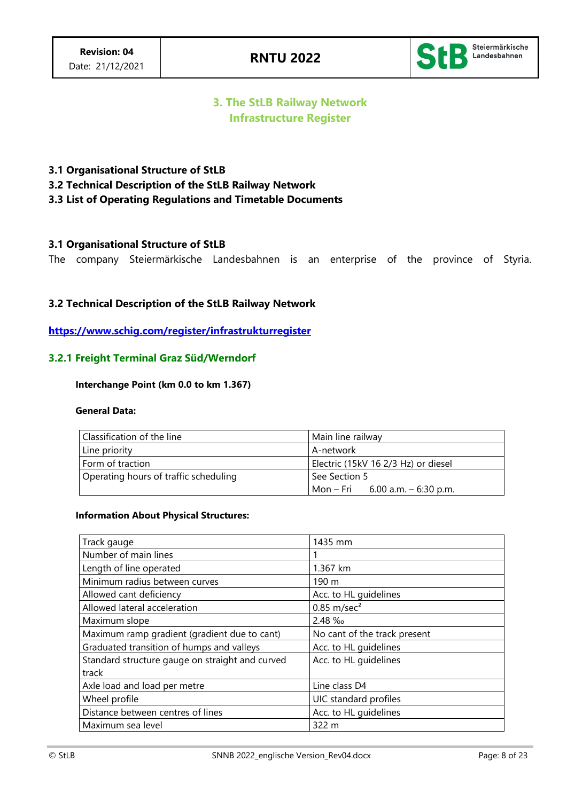

# **3. The StLB Railway Network Infrastructure Register**

### **3.1 Organisational Structure of StLB**

**3.2 Technical Description of the StLB Railway Network**

### **3.3 List of Operating Regulations and Timetable Documents**

### **3.1 Organisational Structure of StLB**

The company Steiermärkische Landesbahnen is an enterprise of the province of Styria.

### **3.2 Technical Description of the StLB Railway Network**

**<https://www.schig.com/register/infrastrukturregister>**

### **3.2.1 Freight Terminal Graz Süd/Werndorf**

#### **Interchange Point (km 0.0 to km 1.367)**

#### **General Data:**

| Classification of the line            | Main line railway                   |
|---------------------------------------|-------------------------------------|
| Line priority                         | A-network                           |
| Form of traction                      | Electric (15kV 16 2/3 Hz) or diesel |
| Operating hours of traffic scheduling | See Section 5                       |
|                                       | Mon – Fri 6.00 a.m. – 6:30 p.m.     |

### **Information About Physical Structures:**

| Track gauge                                     | 1435 mm                      |
|-------------------------------------------------|------------------------------|
| Number of main lines                            |                              |
| Length of line operated                         | 1.367 km                     |
| Minimum radius between curves                   | 190 m                        |
| Allowed cant deficiency                         | Acc. to HL guidelines        |
| Allowed lateral acceleration                    | $0.85$ m/sec <sup>2</sup>    |
| Maximum slope                                   | 2.48 ‰                       |
| Maximum ramp gradient (gradient due to cant)    | No cant of the track present |
| Graduated transition of humps and valleys       | Acc. to HL guidelines        |
| Standard structure gauge on straight and curved | Acc. to HL guidelines        |
| track                                           |                              |
| Axle load and load per metre                    | Line class D4                |
| Wheel profile                                   | UIC standard profiles        |
| Distance between centres of lines               | Acc. to HL guidelines        |
| Maximum sea level                               | 322 m                        |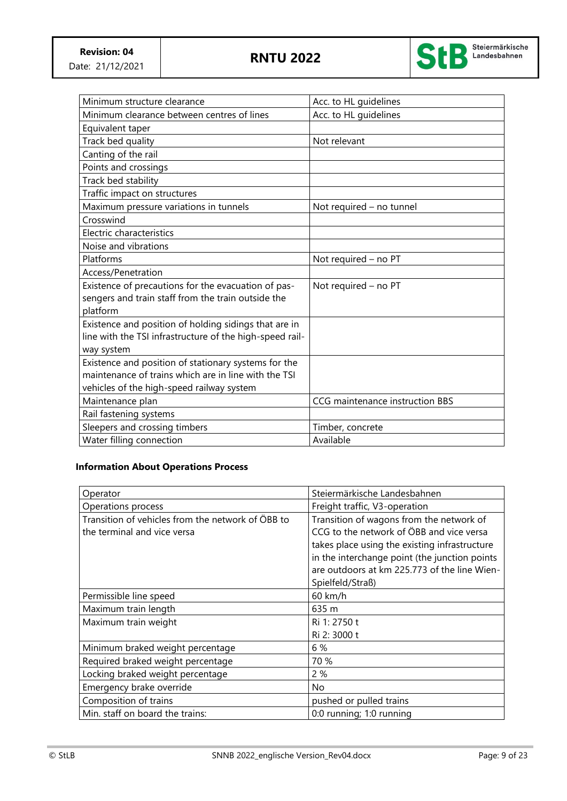

| Minimum structure clearance                              | Acc. to HL guidelines           |
|----------------------------------------------------------|---------------------------------|
| Minimum clearance between centres of lines               | Acc. to HL guidelines           |
| Equivalent taper                                         |                                 |
| Track bed quality                                        | Not relevant                    |
| Canting of the rail                                      |                                 |
| Points and crossings                                     |                                 |
| Track bed stability                                      |                                 |
| Traffic impact on structures                             |                                 |
| Maximum pressure variations in tunnels                   | Not required - no tunnel        |
| Crosswind                                                |                                 |
| Electric characteristics                                 |                                 |
| Noise and vibrations                                     |                                 |
| Platforms                                                | Not required - no PT            |
| Access/Penetration                                       |                                 |
| Existence of precautions for the evacuation of pas-      | Not required - no PT            |
| sengers and train staff from the train outside the       |                                 |
| platform                                                 |                                 |
| Existence and position of holding sidings that are in    |                                 |
| line with the TSI infrastructure of the high-speed rail- |                                 |
| way system                                               |                                 |
| Existence and position of stationary systems for the     |                                 |
| maintenance of trains which are in line with the TSI     |                                 |
| vehicles of the high-speed railway system                |                                 |
| Maintenance plan                                         | CCG maintenance instruction BBS |
| Rail fastening systems                                   |                                 |
| Sleepers and crossing timbers                            | Timber, concrete                |
| Water filling connection                                 | Available                       |

## **Information About Operations Process**

| Operator                                                                         | Steiermärkische Landesbahnen                                                         |
|----------------------------------------------------------------------------------|--------------------------------------------------------------------------------------|
| Operations process                                                               | Freight traffic, V3-operation                                                        |
| Transition of vehicles from the network of ÖBB to<br>the terminal and vice versa | Transition of wagons from the network of<br>CCG to the network of ÖBB and vice versa |
|                                                                                  | takes place using the existing infrastructure                                        |
|                                                                                  | in the interchange point (the junction points                                        |
|                                                                                  | are outdoors at km 225.773 of the line Wien-                                         |
|                                                                                  | Spielfeld/Straß)                                                                     |
| Permissible line speed                                                           | 60 km/h                                                                              |
| Maximum train length                                                             | 635 m                                                                                |
| Maximum train weight                                                             | Ri 1: 2750 t                                                                         |
|                                                                                  | Ri 2: 3000 t                                                                         |
| Minimum braked weight percentage                                                 | 6 %                                                                                  |
| Required braked weight percentage                                                | 70 %                                                                                 |
| Locking braked weight percentage                                                 | 2%                                                                                   |
| Emergency brake override                                                         | No                                                                                   |
| Composition of trains                                                            | pushed or pulled trains                                                              |
| Min. staff on board the trains:                                                  | 0:0 running; 1:0 running                                                             |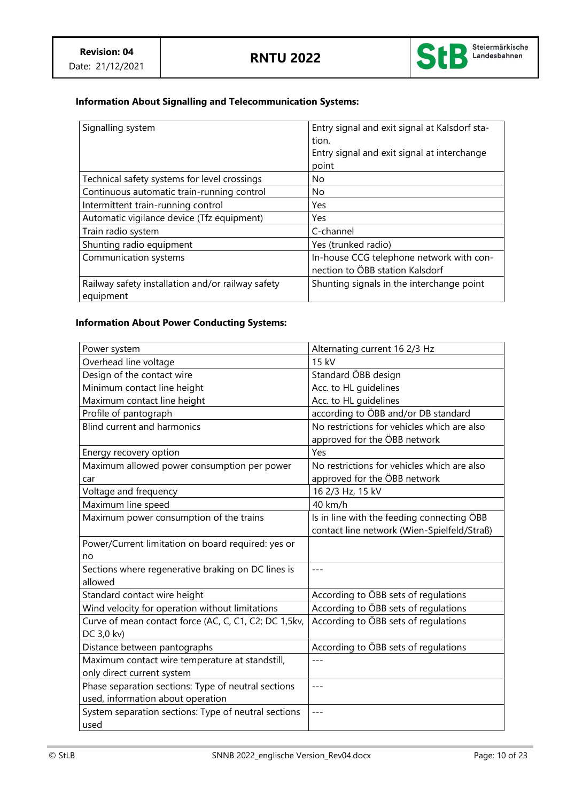

# **Information About Signalling and Telecommunication Systems:**

| Signalling system                                              | Entry signal and exit signal at Kalsdorf sta-<br>tion.<br>Entry signal and exit signal at interchange<br>point |
|----------------------------------------------------------------|----------------------------------------------------------------------------------------------------------------|
| Technical safety systems for level crossings                   | No                                                                                                             |
| Continuous automatic train-running control                     | No.                                                                                                            |
| Intermittent train-running control                             | Yes                                                                                                            |
| Automatic vigilance device (Tfz equipment)                     | Yes                                                                                                            |
| Train radio system                                             | C-channel                                                                                                      |
| Shunting radio equipment                                       | Yes (trunked radio)                                                                                            |
| Communication systems                                          | In-house CCG telephone network with con-<br>nection to ÖBB station Kalsdorf                                    |
| Railway safety installation and/or railway safety<br>equipment | Shunting signals in the interchange point                                                                      |

# **Information About Power Conducting Systems:**

| Power system                                          | Alternating current 16 2/3 Hz               |
|-------------------------------------------------------|---------------------------------------------|
| Overhead line voltage                                 | 15 kV                                       |
| Design of the contact wire                            | Standard ÖBB design                         |
| Minimum contact line height                           | Acc. to HL guidelines                       |
| Maximum contact line height                           | Acc. to HL guidelines                       |
| Profile of pantograph                                 | according to ÖBB and/or DB standard         |
| <b>Blind current and harmonics</b>                    | No restrictions for vehicles which are also |
|                                                       | approved for the ÖBB network                |
| Energy recovery option                                | Yes                                         |
| Maximum allowed power consumption per power           | No restrictions for vehicles which are also |
| car                                                   | approved for the ÖBB network                |
| Voltage and frequency                                 | 16 2/3 Hz, 15 kV                            |
| Maximum line speed                                    | 40 km/h                                     |
| Maximum power consumption of the trains               | Is in line with the feeding connecting ÖBB  |
|                                                       | contact line network (Wien-Spielfeld/Straß) |
| Power/Current limitation on board required: yes or    |                                             |
| no                                                    |                                             |
| Sections where regenerative braking on DC lines is    | $---$                                       |
| allowed                                               |                                             |
| Standard contact wire height                          | According to ÖBB sets of regulations        |
| Wind velocity for operation without limitations       | According to ÖBB sets of regulations        |
| Curve of mean contact force (AC, C, C1, C2; DC 1,5kv, | According to ÖBB sets of regulations        |
| DC 3,0 kv)                                            |                                             |
| Distance between pantographs                          | According to ÖBB sets of regulations        |
| Maximum contact wire temperature at standstill,       |                                             |
| only direct current system                            |                                             |
| Phase separation sections: Type of neutral sections   | $---$                                       |
| used, information about operation                     |                                             |
| System separation sections: Type of neutral sections  |                                             |
| used                                                  |                                             |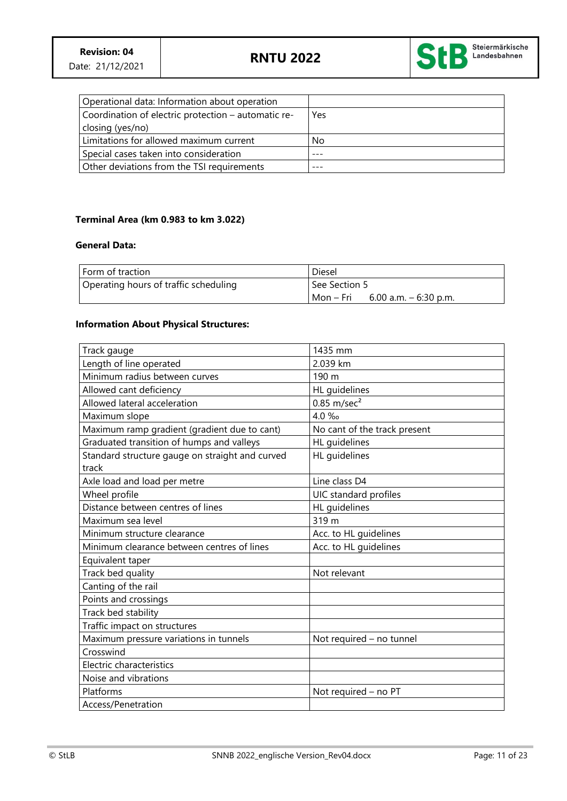

| Operational data: Information about operation       |     |
|-----------------------------------------------------|-----|
| Coordination of electric protection – automatic re- | Yes |
| closing (yes/no)                                    |     |
| Limitations for allowed maximum current             | No  |
| Special cases taken into consideration              |     |
| Other deviations from the TSI requirements          |     |

### **Terminal Area (km 0.983 to km 3.022)**

### **General Data:**

| l Form of traction                    | Diesel                               |
|---------------------------------------|--------------------------------------|
| Operating hours of traffic scheduling | See Section 5                        |
|                                       | Mon – Fri<br>6.00 a.m. $-$ 6:30 p.m. |

### **Information About Physical Structures:**

| Track gauge                                     | 1435 mm                      |
|-------------------------------------------------|------------------------------|
| Length of line operated                         | 2.039 km                     |
| Minimum radius between curves                   | 190 m                        |
| Allowed cant deficiency                         | HL guidelines                |
| Allowed lateral acceleration                    | $0.85$ m/sec <sup>2</sup>    |
| Maximum slope                                   | 4.0 ‰                        |
| Maximum ramp gradient (gradient due to cant)    | No cant of the track present |
| Graduated transition of humps and valleys       | HL quidelines                |
| Standard structure gauge on straight and curved | HL guidelines                |
| track                                           |                              |
| Axle load and load per metre                    | Line class D4                |
| Wheel profile                                   | UIC standard profiles        |
| Distance between centres of lines               | HL guidelines                |
| Maximum sea level                               | 319 m                        |
| Minimum structure clearance                     | Acc. to HL guidelines        |
| Minimum clearance between centres of lines      | Acc. to HL guidelines        |
| Equivalent taper                                |                              |
| Track bed quality                               | Not relevant                 |
| Canting of the rail                             |                              |
| Points and crossings                            |                              |
| Track bed stability                             |                              |
| Traffic impact on structures                    |                              |
| Maximum pressure variations in tunnels          | Not required - no tunnel     |
| Crosswind                                       |                              |
| Electric characteristics                        |                              |
| Noise and vibrations                            |                              |
| Platforms                                       | Not required - no PT         |
| Access/Penetration                              |                              |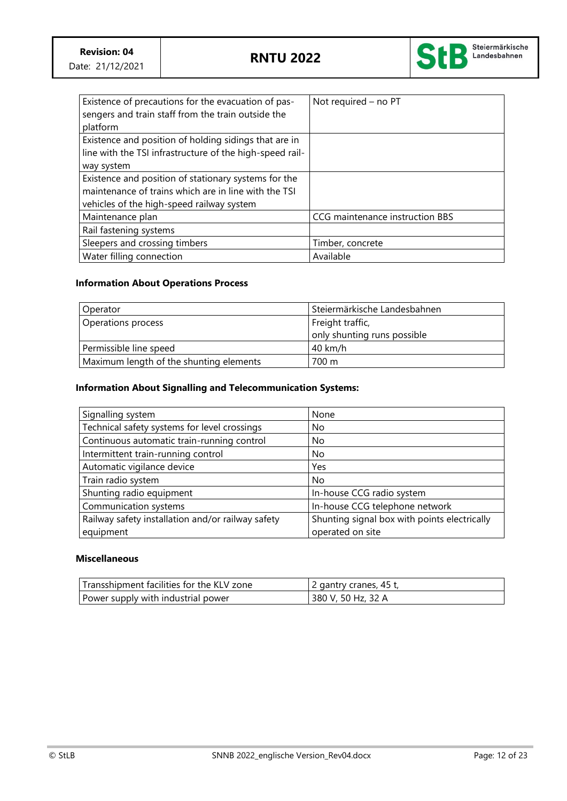

| Existence of precautions for the evacuation of pas-<br>sengers and train staff from the train outside the | Not required - no PT            |
|-----------------------------------------------------------------------------------------------------------|---------------------------------|
| platform                                                                                                  |                                 |
| Existence and position of holding sidings that are in                                                     |                                 |
| line with the TSI infrastructure of the high-speed rail-                                                  |                                 |
| way system                                                                                                |                                 |
| Existence and position of stationary systems for the                                                      |                                 |
| maintenance of trains which are in line with the TSI                                                      |                                 |
| vehicles of the high-speed railway system                                                                 |                                 |
| Maintenance plan                                                                                          | CCG maintenance instruction BBS |
| Rail fastening systems                                                                                    |                                 |
| Sleepers and crossing timbers                                                                             | Timber, concrete                |
| Water filling connection                                                                                  | Available                       |

# **Information About Operations Process**

| Operator                                | Steiermärkische Landesbahnen  |
|-----------------------------------------|-------------------------------|
| Operations process                      | Freight traffic,              |
|                                         | I only shunting runs possible |
| Permissible line speed                  | $40$ km/h                     |
| Maximum length of the shunting elements | 700 m                         |

### **Information About Signalling and Telecommunication Systems:**

| Signalling system                                                                                 | None                           |
|---------------------------------------------------------------------------------------------------|--------------------------------|
| Technical safety systems for level crossings                                                      | No                             |
| Continuous automatic train-running control                                                        | No.                            |
| Intermittent train-running control                                                                | No.                            |
| Automatic vigilance device                                                                        | Yes                            |
| Train radio system                                                                                | No.                            |
| Shunting radio equipment                                                                          | In-house CCG radio system      |
| Communication systems                                                                             | In-house CCG telephone network |
| Railway safety installation and/or railway safety<br>Shunting signal box with points electrically |                                |
| equipment                                                                                         | operated on site               |

#### **Miscellaneous**

| Transshipment facilities for the KLV zone | 2 gantry cranes, 45 t, |
|-------------------------------------------|------------------------|
| Power supply with industrial power        | 380 V, 50 Hz, 32 A     |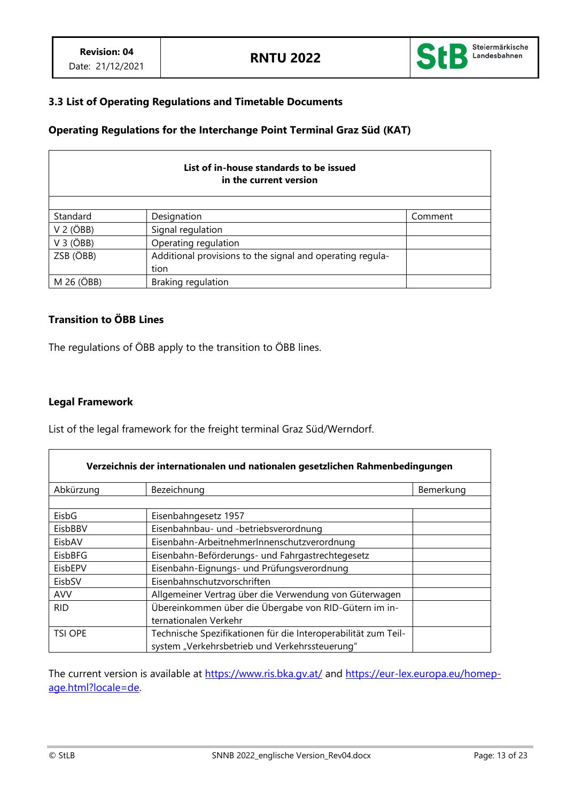

## **3.3 List of Operating Regulations and Timetable Documents**

## **Operating Regulations for the Interchange Point Terminal Graz Süd (KAT)**

| List of in-house standards to be issued<br>in the current version |                                                           |         |  |
|-------------------------------------------------------------------|-----------------------------------------------------------|---------|--|
|                                                                   |                                                           |         |  |
| Standard                                                          | Designation                                               | Comment |  |
| $V$ 2 ( $\overrightarrow{O}$ BB)                                  | Signal regulation                                         |         |  |
| $V$ 3 ( $\overrightarrow{OBB}$ )                                  | Operating regulation                                      |         |  |
| ZSB (ÖBB)                                                         | Additional provisions to the signal and operating regula- |         |  |
|                                                                   | tion                                                      |         |  |
| M 26 (ÖBB)                                                        | Braking regulation                                        |         |  |

# **Transition to ÖBB Lines**

The regulations of ÖBB apply to the transition to ÖBB lines.

### **Legal Framework**

List of the legal framework for the freight terminal Graz Süd/Werndorf.

| Verzeichnis der internationalen und nationalen gesetzlichen Rahmenbedingungen |                                                                |           |
|-------------------------------------------------------------------------------|----------------------------------------------------------------|-----------|
| Abkürzung                                                                     | Bezeichnung                                                    | Bemerkung |
|                                                                               |                                                                |           |
| EisbG                                                                         | Eisenbahngesetz 1957                                           |           |
| EisbBBV                                                                       | Eisenbahnbau- und -betriebsverordnung                          |           |
| EisbAV                                                                        | Eisenbahn-ArbeitnehmerInnenschutzverordnung                    |           |
| EisbBFG                                                                       | Eisenbahn-Beförderungs- und Fahrgastrechtegesetz               |           |
| EisbEPV                                                                       | Eisenbahn-Eignungs- und Prüfungsverordnung                     |           |
| EisbSV                                                                        | Eisenbahnschutzvorschriften                                    |           |
| <b>AVV</b>                                                                    | Allgemeiner Vertrag über die Verwendung von Güterwagen         |           |
| <b>RID</b>                                                                    | Übereinkommen über die Übergabe von RID-Gütern im in-          |           |
|                                                                               | ternationalen Verkehr                                          |           |
| <b>TSI OPE</b>                                                                | Technische Spezifikationen für die Interoperabilität zum Teil- |           |
|                                                                               | system "Verkehrsbetrieb und Verkehrssteuerung"                 |           |

The current version is available at<https://www.ris.bka.gv.at/> and [https://eur-lex.europa.eu/homep](https://eur-lex.europa.eu/homepage.html?locale=de)[age.html?locale=de.](https://eur-lex.europa.eu/homepage.html?locale=de)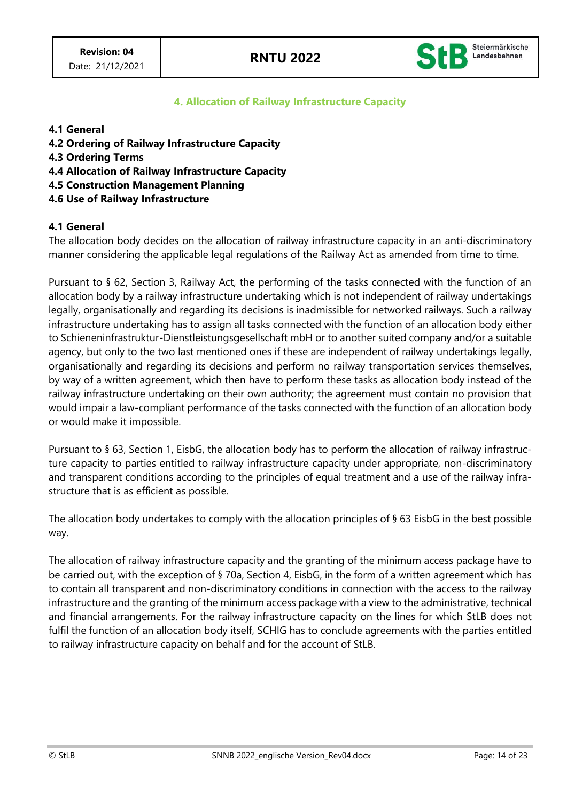

## **4. Allocation of Railway Infrastructure Capacity**

### **4.1 General**

- **4.2 Ordering of Railway Infrastructure Capacity**
- **4.3 Ordering Terms**
- **4.4 Allocation of Railway Infrastructure Capacity**
- **4.5 Construction Management Planning**
- **4.6 Use of Railway Infrastructure**

### **4.1 General**

The allocation body decides on the allocation of railway infrastructure capacity in an anti-discriminatory manner considering the applicable legal regulations of the Railway Act as amended from time to time.

Pursuant to § 62, Section 3, Railway Act, the performing of the tasks connected with the function of an allocation body by a railway infrastructure undertaking which is not independent of railway undertakings legally, organisationally and regarding its decisions is inadmissible for networked railways. Such a railway infrastructure undertaking has to assign all tasks connected with the function of an allocation body either to Schieneninfrastruktur-Dienstleistungsgesellschaft mbH or to another suited company and/or a suitable agency, but only to the two last mentioned ones if these are independent of railway undertakings legally, organisationally and regarding its decisions and perform no railway transportation services themselves, by way of a written agreement, which then have to perform these tasks as allocation body instead of the railway infrastructure undertaking on their own authority; the agreement must contain no provision that would impair a law-compliant performance of the tasks connected with the function of an allocation body or would make it impossible.

Pursuant to § 63, Section 1, EisbG, the allocation body has to perform the allocation of railway infrastructure capacity to parties entitled to railway infrastructure capacity under appropriate, non-discriminatory and transparent conditions according to the principles of equal treatment and a use of the railway infrastructure that is as efficient as possible.

The allocation body undertakes to comply with the allocation principles of § 63 EisbG in the best possible way.

The allocation of railway infrastructure capacity and the granting of the minimum access package have to be carried out, with the exception of § 70a, Section 4, EisbG, in the form of a written agreement which has to contain all transparent and non-discriminatory conditions in connection with the access to the railway infrastructure and the granting of the minimum access package with a view to the administrative, technical and financial arrangements. For the railway infrastructure capacity on the lines for which StLB does not fulfil the function of an allocation body itself, SCHIG has to conclude agreements with the parties entitled to railway infrastructure capacity on behalf and for the account of StLB.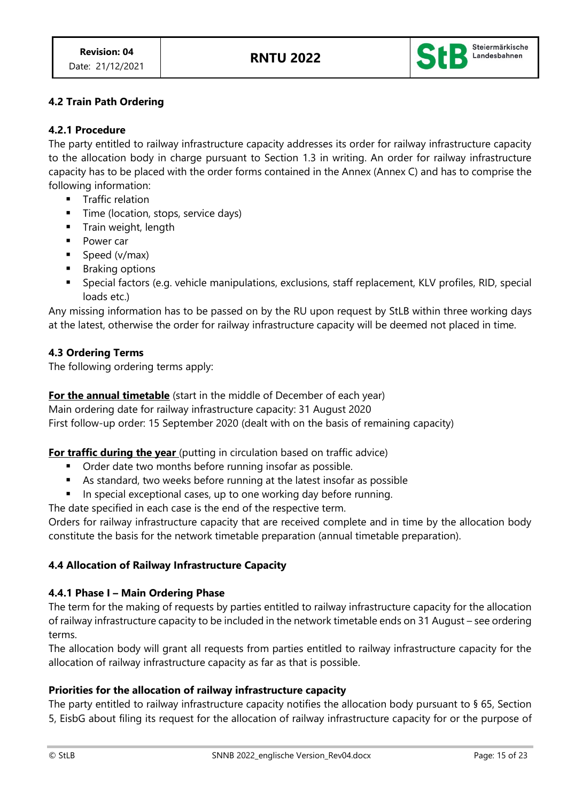

# **4.2 Train Path Ordering**

### **4.2.1 Procedure**

The party entitled to railway infrastructure capacity addresses its order for railway infrastructure capacity to the allocation body in charge pursuant to Section 1.3 in writing. An order for railway infrastructure capacity has to be placed with the order forms contained in the Annex (Annex C) and has to comprise the following information:

- Traffic relation
- **Time (location, stops, service days)**
- Train weight, length
- Power car
- Speed (v/max)
- Braking options
- Special factors (e.g. vehicle manipulations, exclusions, staff replacement, KLV profiles, RID, special loads etc.)

Any missing information has to be passed on by the RU upon request by StLB within three working days at the latest, otherwise the order for railway infrastructure capacity will be deemed not placed in time.

### **4.3 Ordering Terms**

The following ordering terms apply:

**For the annual timetable** (start in the middle of December of each year)

Main ordering date for railway infrastructure capacity: 31 August 2020

First follow-up order: 15 September 2020 (dealt with on the basis of remaining capacity)

## **For traffic during the year** (putting in circulation based on traffic advice)

- Order date two months before running insofar as possible.
- As standard, two weeks before running at the latest insofar as possible
- In special exceptional cases, up to one working day before running.

The date specified in each case is the end of the respective term.

Orders for railway infrastructure capacity that are received complete and in time by the allocation body constitute the basis for the network timetable preparation (annual timetable preparation).

## **4.4 Allocation of Railway Infrastructure Capacity**

### **4.4.1 Phase I – Main Ordering Phase**

The term for the making of requests by parties entitled to railway infrastructure capacity for the allocation of railway infrastructure capacity to be included in the network timetable ends on 31 August – see ordering terms.

The allocation body will grant all requests from parties entitled to railway infrastructure capacity for the allocation of railway infrastructure capacity as far as that is possible.

## **Priorities for the allocation of railway infrastructure capacity**

The party entitled to railway infrastructure capacity notifies the allocation body pursuant to § 65, Section 5, EisbG about filing its request for the allocation of railway infrastructure capacity for or the purpose of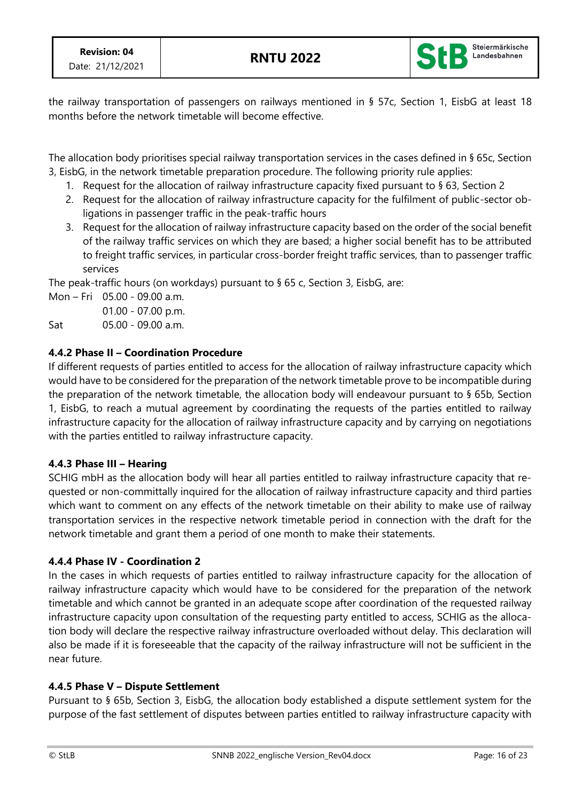

the railway transportation of passengers on railways mentioned in § 57c, Section 1, EisbG at least 18 months before the network timetable will become effective.

The allocation body prioritises special railway transportation services in the cases defined in § 65c, Section 3, EisbG, in the network timetable preparation procedure. The following priority rule applies:

- 1. Request for the allocation of railway infrastructure capacity fixed pursuant to § 63, Section 2
- 2. Request for the allocation of railway infrastructure capacity for the fulfilment of public-sector obligations in passenger traffic in the peak-traffic hours
- 3. Request for the allocation of railway infrastructure capacity based on the order of the social benefit of the railway traffic services on which they are based; a higher social benefit has to be attributed to freight traffic services, in particular cross-border freight traffic services, than to passenger traffic services

The peak-traffic hours (on workdays) pursuant to § 65 c, Section 3, EisbG, are:

Mon – Fri 05.00 - 09.00 a.m. 01.00 - 07.00 p.m.

Sat 05.00 - 09.00 a.m.

# **4.4.2 Phase II – Coordination Procedure**

If different requests of parties entitled to access for the allocation of railway infrastructure capacity which would have to be considered for the preparation of the network timetable prove to be incompatible during the preparation of the network timetable, the allocation body will endeavour pursuant to § 65b, Section 1, EisbG, to reach a mutual agreement by coordinating the requests of the parties entitled to railway infrastructure capacity for the allocation of railway infrastructure capacity and by carrying on negotiations with the parties entitled to railway infrastructure capacity.

# **4.4.3 Phase III – Hearing**

SCHIG mbH as the allocation body will hear all parties entitled to railway infrastructure capacity that requested or non-committally inquired for the allocation of railway infrastructure capacity and third parties which want to comment on any effects of the network timetable on their ability to make use of railway transportation services in the respective network timetable period in connection with the draft for the network timetable and grant them a period of one month to make their statements.

## **4.4.4 Phase IV - Coordination 2**

In the cases in which requests of parties entitled to railway infrastructure capacity for the allocation of railway infrastructure capacity which would have to be considered for the preparation of the network timetable and which cannot be granted in an adequate scope after coordination of the requested railway infrastructure capacity upon consultation of the requesting party entitled to access, SCHIG as the allocation body will declare the respective railway infrastructure overloaded without delay. This declaration will also be made if it is foreseeable that the capacity of the railway infrastructure will not be sufficient in the near future.

## **4.4.5 Phase V – Dispute Settlement**

Pursuant to § 65b, Section 3, EisbG, the allocation body established a dispute settlement system for the purpose of the fast settlement of disputes between parties entitled to railway infrastructure capacity with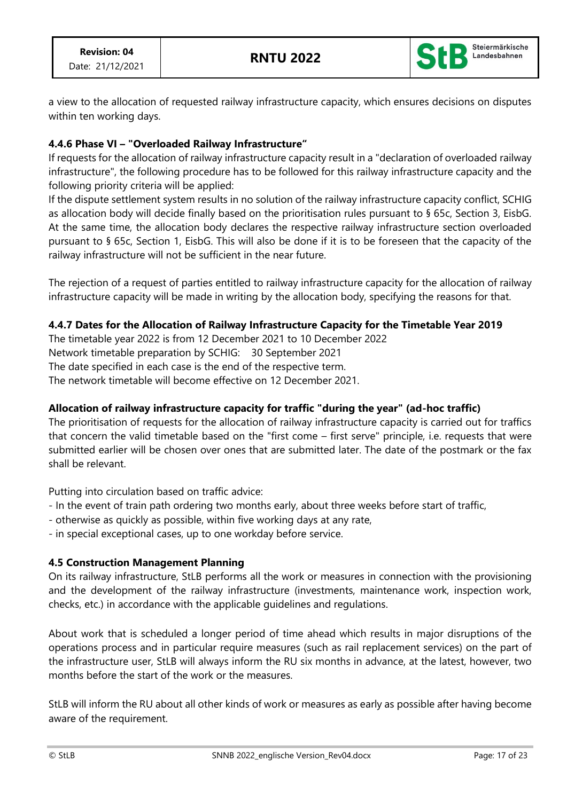

a view to the allocation of requested railway infrastructure capacity, which ensures decisions on disputes within ten working days.

## **4.4.6 Phase VI – "Overloaded Railway Infrastructure"**

If requests for the allocation of railway infrastructure capacity result in a "declaration of overloaded railway infrastructure", the following procedure has to be followed for this railway infrastructure capacity and the following priority criteria will be applied:

If the dispute settlement system results in no solution of the railway infrastructure capacity conflict, SCHIG as allocation body will decide finally based on the prioritisation rules pursuant to § 65c, Section 3, EisbG. At the same time, the allocation body declares the respective railway infrastructure section overloaded pursuant to § 65c, Section 1, EisbG. This will also be done if it is to be foreseen that the capacity of the railway infrastructure will not be sufficient in the near future.

The rejection of a request of parties entitled to railway infrastructure capacity for the allocation of railway infrastructure capacity will be made in writing by the allocation body, specifying the reasons for that.

### **4.4.7 Dates for the Allocation of Railway Infrastructure Capacity for the Timetable Year 2019**

The timetable year 2022 is from 12 December 2021 to 10 December 2022 Network timetable preparation by SCHIG: 30 September 2021 The date specified in each case is the end of the respective term. The network timetable will become effective on 12 December 2021.

## **Allocation of railway infrastructure capacity for traffic "during the year" (ad-hoc traffic)**

The prioritisation of requests for the allocation of railway infrastructure capacity is carried out for traffics that concern the valid timetable based on the "first come – first serve" principle, i.e. requests that were submitted earlier will be chosen over ones that are submitted later. The date of the postmark or the fax shall be relevant.

Putting into circulation based on traffic advice:

- In the event of train path ordering two months early, about three weeks before start of traffic,
- otherwise as quickly as possible, within five working days at any rate,

- in special exceptional cases, up to one workday before service.

## **4.5 Construction Management Planning**

On its railway infrastructure, StLB performs all the work or measures in connection with the provisioning and the development of the railway infrastructure (investments, maintenance work, inspection work, checks, etc.) in accordance with the applicable guidelines and regulations.

About work that is scheduled a longer period of time ahead which results in major disruptions of the operations process and in particular require measures (such as rail replacement services) on the part of the infrastructure user, StLB will always inform the RU six months in advance, at the latest, however, two months before the start of the work or the measures.

StLB will inform the RU about all other kinds of work or measures as early as possible after having become aware of the requirement.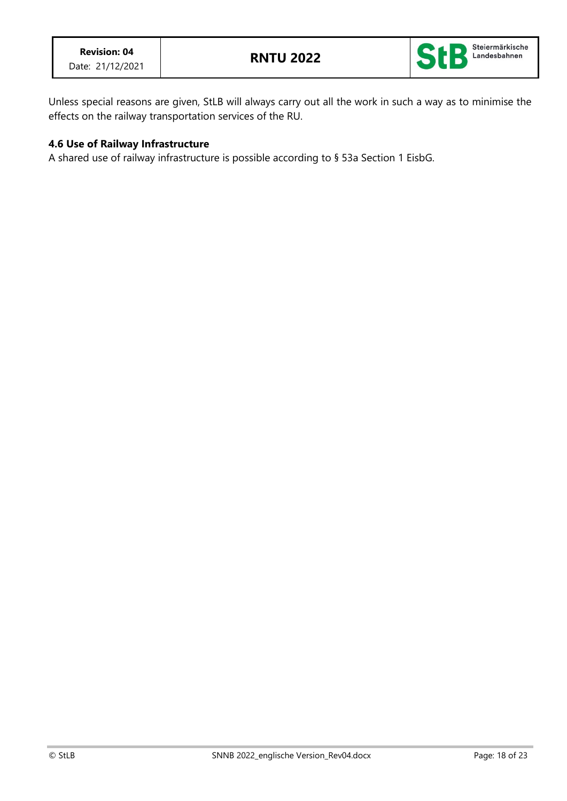

Unless special reasons are given, StLB will always carry out all the work in such a way as to minimise the effects on the railway transportation services of the RU.

### **4.6 Use of Railway Infrastructure**

A shared use of railway infrastructure is possible according to § 53a Section 1 EisbG.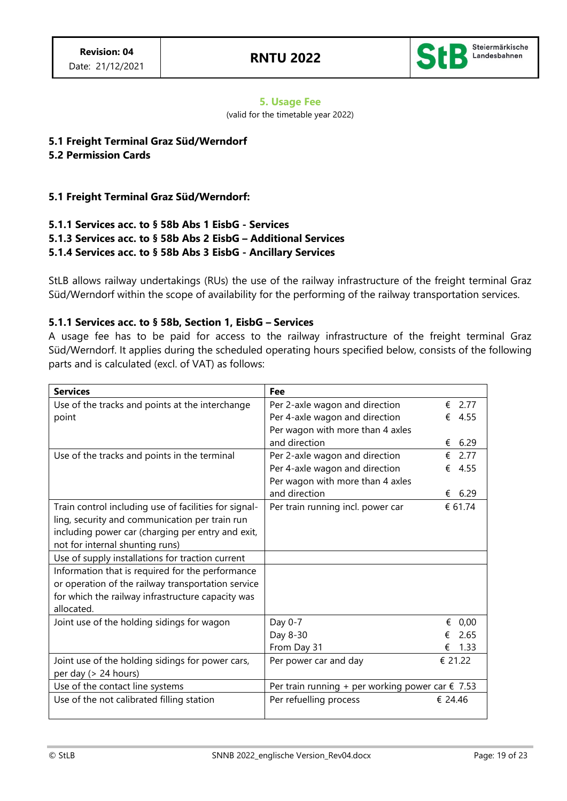

#### **5. Usage Fee**

(valid for the timetable year 2022)

## **5.1 Freight Terminal Graz Süd/Werndorf**

### **5.2 Permission Cards**

### **5.1 Freight Terminal Graz Süd/Werndorf:**

### **5.1.1 Services acc. to § 58b Abs 1 EisbG - Services 5.1.3 Services acc. to § 58b Abs 2 EisbG – Additional Services 5.1.4 Services acc. to § 58b Abs 3 EisbG - Ancillary Services**

StLB allows railway undertakings (RUs) the use of the railway infrastructure of the freight terminal Graz Süd/Werndorf within the scope of availability for the performing of the railway transportation services.

### **5.1.1 Services acc. to § 58b, Section 1, EisbG – Services**

A usage fee has to be paid for access to the railway infrastructure of the freight terminal Graz Süd/Werndorf. It applies during the scheduled operating hours specified below, consists of the following parts and is calculated (excl. of VAT) as follows:

| <b>Services</b>                                       | Fee                                                       |           |
|-------------------------------------------------------|-----------------------------------------------------------|-----------|
| Use of the tracks and points at the interchange       | Per 2-axle wagon and direction                            | 2.77<br>€ |
| point                                                 | Per 4-axle wagon and direction                            | 4.55<br>€ |
|                                                       | Per wagon with more than 4 axles                          |           |
|                                                       | and direction                                             | 6.29<br>€ |
| Use of the tracks and points in the terminal          | Per 2-axle wagon and direction                            | 2.77<br>€ |
|                                                       | Per 4-axle wagon and direction                            | 4.55<br>€ |
|                                                       | Per wagon with more than 4 axles                          |           |
|                                                       | and direction                                             | 6.29<br>€ |
| Train control including use of facilities for signal- | Per train running incl. power car                         | € 61.74   |
| ling, security and communication per train run        |                                                           |           |
| including power car (charging per entry and exit,     |                                                           |           |
| not for internal shunting runs)                       |                                                           |           |
| Use of supply installations for traction current      |                                                           |           |
| Information that is required for the performance      |                                                           |           |
| or operation of the railway transportation service    |                                                           |           |
| for which the railway infrastructure capacity was     |                                                           |           |
| allocated.                                            |                                                           |           |
| Joint use of the holding sidings for wagon            | Day 0-7                                                   | 0,00<br>€ |
|                                                       | Day 8-30                                                  | 2.65      |
|                                                       | From Day 31                                               | 1.33<br>€ |
| Joint use of the holding sidings for power cars,      | Per power car and day                                     | € 21.22   |
| per day (> 24 hours)                                  |                                                           |           |
| Use of the contact line systems                       | Per train running + per working power car $\epsilon$ 7.53 |           |
| Use of the not calibrated filling station             | Per refuelling process                                    | € 24.46   |
|                                                       |                                                           |           |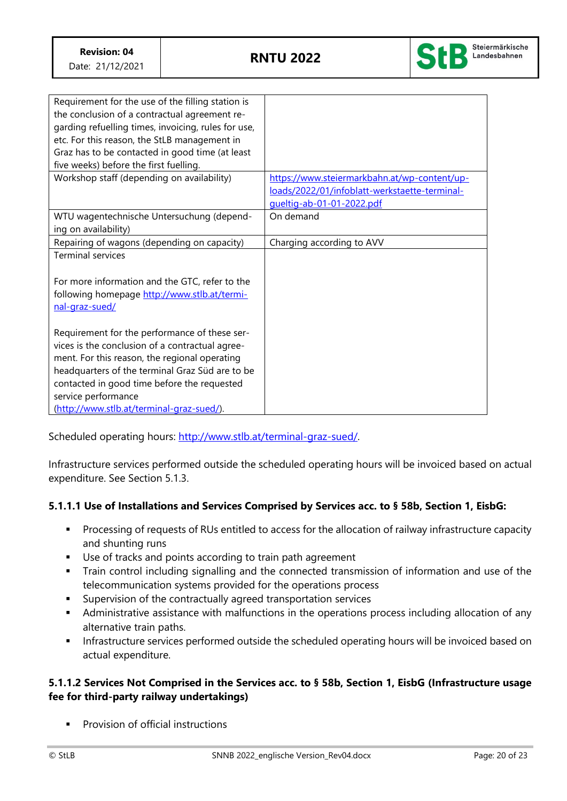

| Requirement for the use of the filling station is<br>the conclusion of a contractual agreement re-<br>garding refuelling times, invoicing, rules for use,<br>etc. For this reason, the StLB management in<br>Graz has to be contacted in good time (at least |                                               |
|--------------------------------------------------------------------------------------------------------------------------------------------------------------------------------------------------------------------------------------------------------------|-----------------------------------------------|
| five weeks) before the first fuelling.                                                                                                                                                                                                                       |                                               |
| Workshop staff (depending on availability)                                                                                                                                                                                                                   | https://www.steiermarkbahn.at/wp-content/up-  |
|                                                                                                                                                                                                                                                              | loads/2022/01/infoblatt-werkstaette-terminal- |
|                                                                                                                                                                                                                                                              | gueltig-ab-01-01-2022.pdf                     |
| WTU wagentechnische Untersuchung (depend-<br>ing on availability)                                                                                                                                                                                            | On demand                                     |
| Repairing of wagons (depending on capacity)                                                                                                                                                                                                                  | Charging according to AVV                     |
| <b>Terminal services</b><br>For more information and the GTC, refer to the                                                                                                                                                                                   |                                               |
| following homepage http://www.stlb.at/termi-<br>nal-graz-sued/                                                                                                                                                                                               |                                               |
| Requirement for the performance of these ser-<br>vices is the conclusion of a contractual agree-                                                                                                                                                             |                                               |
| ment. For this reason, the regional operating                                                                                                                                                                                                                |                                               |
| headquarters of the terminal Graz Süd are to be                                                                                                                                                                                                              |                                               |
| contacted in good time before the requested                                                                                                                                                                                                                  |                                               |
| service performance                                                                                                                                                                                                                                          |                                               |
| (http://www.stlb.at/terminal-graz-sued/).                                                                                                                                                                                                                    |                                               |

Scheduled operating hours: [http://www.stlb.at/terminal-graz-sued/.](http://www.stlb.at/terminal-graz-sued/) 

Infrastructure services performed outside the scheduled operating hours will be invoiced based on actual expenditure. See Section 5.1.3.

## **5.1.1.1 Use of Installations and Services Comprised by Services acc. to § 58b, Section 1, EisbG:**

- Processing of requests of RUs entitled to access for the allocation of railway infrastructure capacity and shunting runs
- Use of tracks and points according to train path agreement
- **•** Train control including signalling and the connected transmission of information and use of the telecommunication systems provided for the operations process
- Supervision of the contractually agreed transportation services
- **■** Administrative assistance with malfunctions in the operations process including allocation of any alternative train paths.
- **·** Infrastructure services performed outside the scheduled operating hours will be invoiced based on actual expenditure.

## **5.1.1.2 Services Not Comprised in the Services acc. to § 58b, Section 1, EisbG (Infrastructure usage fee for third-party railway undertakings)**

Provision of official instructions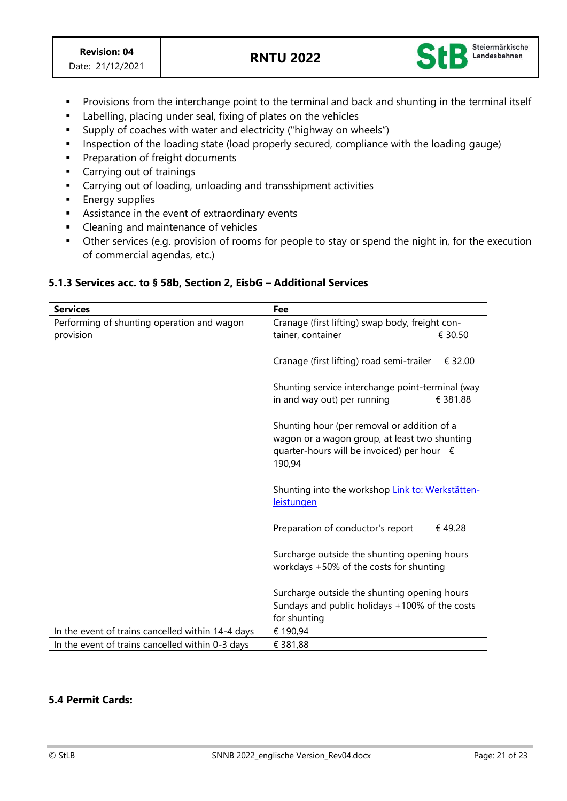

- Provisions from the interchange point to the terminal and back and shunting in the terminal itself
- Labelling, placing under seal, fixing of plates on the vehicles
- Supply of coaches with water and electricity ("highway on wheels")
- **EXP** Inspection of the loading state (load properly secured, compliance with the loading gauge)
- Preparation of freight documents
- Carrying out of trainings
- Carrying out of loading, unloading and transshipment activities
- **Energy supplies**
- **EXE** Assistance in the event of extraordinary events
- Cleaning and maintenance of vehicles
- **•** Other services (e.g. provision of rooms for people to stay or spend the night in, for the execution of commercial agendas, etc.)

### **5.1.3 Services acc. to § 58b, Section 2, EisbG – Additional Services**

| <b>Services</b>                                   | Fee                                                                                          |  |
|---------------------------------------------------|----------------------------------------------------------------------------------------------|--|
| Performing of shunting operation and wagon        | Cranage (first lifting) swap body, freight con-                                              |  |
| provision                                         | tainer, container<br>€ 30.50                                                                 |  |
|                                                   |                                                                                              |  |
|                                                   | Cranage (first lifting) road semi-trailer<br>€ 32.00                                         |  |
|                                                   |                                                                                              |  |
|                                                   | Shunting service interchange point-terminal (way                                             |  |
|                                                   | in and way out) per running<br>€ 381.88                                                      |  |
|                                                   |                                                                                              |  |
|                                                   | Shunting hour (per removal or addition of a<br>wagon or a wagon group, at least two shunting |  |
|                                                   | quarter-hours will be invoiced) per hour €                                                   |  |
|                                                   | 190,94                                                                                       |  |
|                                                   |                                                                                              |  |
|                                                   | Shunting into the workshop Link to: Werkstätten-                                             |  |
|                                                   | <b>leistungen</b>                                                                            |  |
|                                                   |                                                                                              |  |
|                                                   | Preparation of conductor's report<br>€49.28                                                  |  |
|                                                   |                                                                                              |  |
|                                                   | Surcharge outside the shunting opening hours<br>workdays +50% of the costs for shunting      |  |
|                                                   |                                                                                              |  |
|                                                   | Surcharge outside the shunting opening hours                                                 |  |
|                                                   | Sundays and public holidays +100% of the costs                                               |  |
|                                                   | for shunting                                                                                 |  |
| In the event of trains cancelled within 14-4 days | € 190,94                                                                                     |  |
| In the event of trains cancelled within 0-3 days  | € 381,88                                                                                     |  |

### **5.4 Permit Cards:**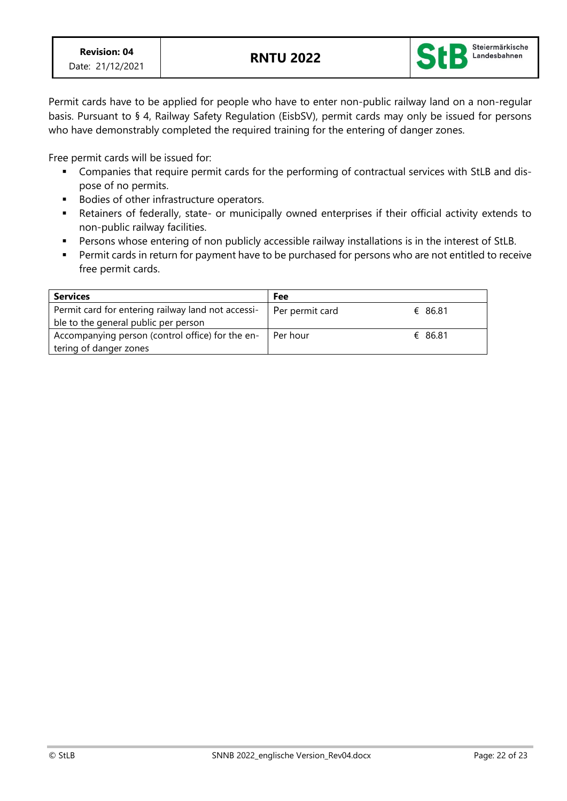

Permit cards have to be applied for people who have to enter non-public railway land on a non-regular basis. Pursuant to § 4, Railway Safety Regulation (EisbSV), permit cards may only be issued for persons who have demonstrably completed the required training for the entering of danger zones.

Free permit cards will be issued for:

- Companies that require permit cards for the performing of contractual services with StLB and dispose of no permits.
- Bodies of other infrastructure operators.
- Retainers of federally, state- or municipally owned enterprises if their official activity extends to non-public railway facilities.
- Persons whose entering of non publicly accessible railway installations is in the interest of StLB.
- Permit cards in return for payment have to be purchased for persons who are not entitled to receive free permit cards.

| <b>Services</b>                                    | Fee             |         |
|----------------------------------------------------|-----------------|---------|
| Permit card for entering railway land not accessi- | Per permit card | € 86.81 |
| ble to the general public per person               |                 |         |
| Accompanying person (control office) for the en-   | Per hour        | € 86.81 |
| tering of danger zones                             |                 |         |